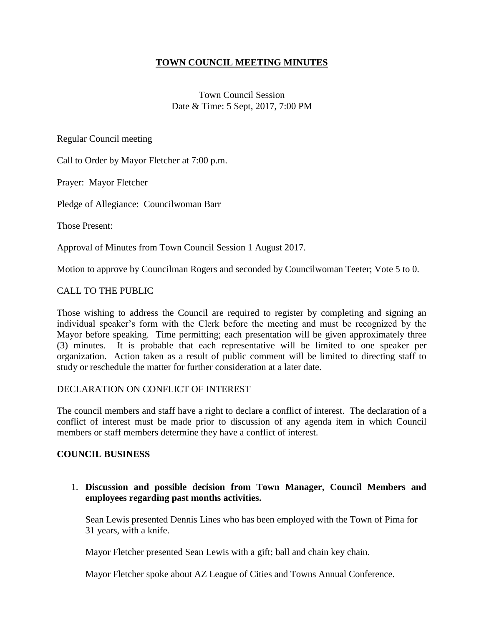## **TOWN COUNCIL MEETING MINUTES**

Town Council Session Date & Time: 5 Sept, 2017, 7:00 PM

Regular Council meeting

Call to Order by Mayor Fletcher at 7:00 p.m.

Prayer: Mayor Fletcher

Pledge of Allegiance: Councilwoman Barr

Those Present:

Approval of Minutes from Town Council Session 1 August 2017.

Motion to approve by Councilman Rogers and seconded by Councilwoman Teeter; Vote 5 to 0.

### CALL TO THE PUBLIC

Those wishing to address the Council are required to register by completing and signing an individual speaker's form with the Clerk before the meeting and must be recognized by the Mayor before speaking. Time permitting; each presentation will be given approximately three (3) minutes. It is probable that each representative will be limited to one speaker per organization. Action taken as a result of public comment will be limited to directing staff to study or reschedule the matter for further consideration at a later date.

#### DECLARATION ON CONFLICT OF INTEREST

The council members and staff have a right to declare a conflict of interest. The declaration of a conflict of interest must be made prior to discussion of any agenda item in which Council members or staff members determine they have a conflict of interest.

#### **COUNCIL BUSINESS**

1. **Discussion and possible decision from Town Manager, Council Members and employees regarding past months activities.**

Sean Lewis presented Dennis Lines who has been employed with the Town of Pima for 31 years, with a knife.

Mayor Fletcher presented Sean Lewis with a gift; ball and chain key chain.

Mayor Fletcher spoke about AZ League of Cities and Towns Annual Conference.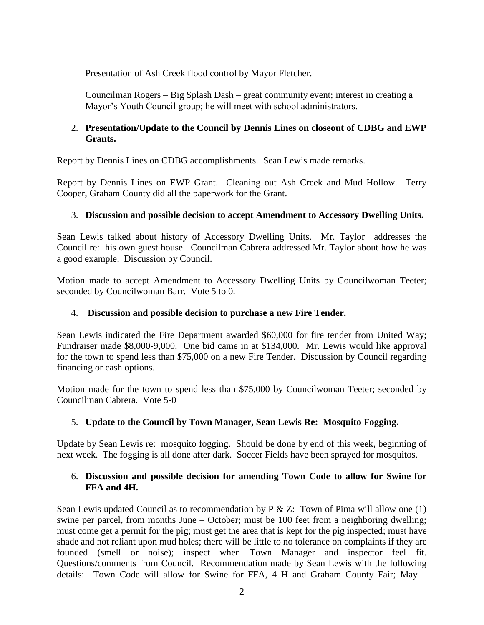Presentation of Ash Creek flood control by Mayor Fletcher.

Councilman Rogers – Big Splash Dash – great community event; interest in creating a Mayor's Youth Council group; he will meet with school administrators.

## 2. **Presentation/Update to the Council by Dennis Lines on closeout of CDBG and EWP Grants.**

Report by Dennis Lines on CDBG accomplishments. Sean Lewis made remarks.

Report by Dennis Lines on EWP Grant. Cleaning out Ash Creek and Mud Hollow. Terry Cooper, Graham County did all the paperwork for the Grant.

## 3. **Discussion and possible decision to accept Amendment to Accessory Dwelling Units.**

Sean Lewis talked about history of Accessory Dwelling Units. Mr. Taylor addresses the Council re: his own guest house. Councilman Cabrera addressed Mr. Taylor about how he was a good example. Discussion by Council.

Motion made to accept Amendment to Accessory Dwelling Units by Councilwoman Teeter; seconded by Councilwoman Barr. Vote 5 to 0.

#### 4. **Discussion and possible decision to purchase a new Fire Tender.**

Sean Lewis indicated the Fire Department awarded \$60,000 for fire tender from United Way; Fundraiser made \$8,000-9,000. One bid came in at \$134,000. Mr. Lewis would like approval for the town to spend less than \$75,000 on a new Fire Tender. Discussion by Council regarding financing or cash options.

Motion made for the town to spend less than \$75,000 by Councilwoman Teeter; seconded by Councilman Cabrera. Vote 5-0

## 5. **Update to the Council by Town Manager, Sean Lewis Re: Mosquito Fogging.**

Update by Sean Lewis re: mosquito fogging. Should be done by end of this week, beginning of next week. The fogging is all done after dark. Soccer Fields have been sprayed for mosquitos.

## 6. **Discussion and possible decision for amending Town Code to allow for Swine for FFA and 4H.**

Sean Lewis updated Council as to recommendation by  $P \& Z$ : Town of Pima will allow one (1) swine per parcel, from months June – October; must be 100 feet from a neighboring dwelling; must come get a permit for the pig; must get the area that is kept for the pig inspected; must have shade and not reliant upon mud holes; there will be little to no tolerance on complaints if they are founded (smell or noise); inspect when Town Manager and inspector feel fit. Questions/comments from Council. Recommendation made by Sean Lewis with the following details: Town Code will allow for Swine for FFA, 4 H and Graham County Fair; May –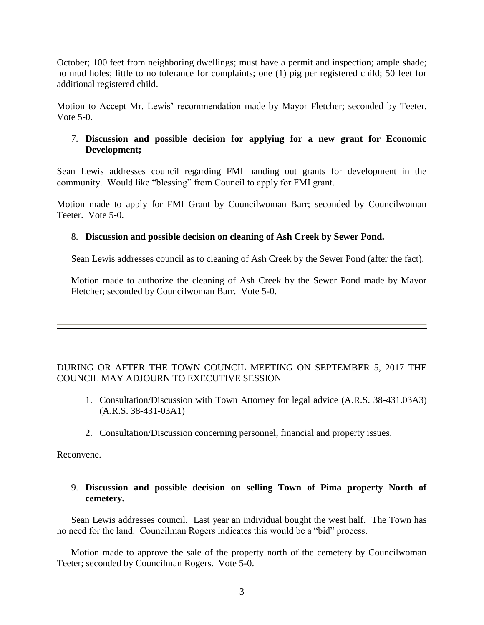October; 100 feet from neighboring dwellings; must have a permit and inspection; ample shade; no mud holes; little to no tolerance for complaints; one (1) pig per registered child; 50 feet for additional registered child.

Motion to Accept Mr. Lewis' recommendation made by Mayor Fletcher; seconded by Teeter. Vote 5-0.

### 7. **Discussion and possible decision for applying for a new grant for Economic Development;**

Sean Lewis addresses council regarding FMI handing out grants for development in the community. Would like "blessing" from Council to apply for FMI grant.

Motion made to apply for FMI Grant by Councilwoman Barr; seconded by Councilwoman Teeter. Vote 5-0.

### 8. **Discussion and possible decision on cleaning of Ash Creek by Sewer Pond.**

Sean Lewis addresses council as to cleaning of Ash Creek by the Sewer Pond (after the fact).

Motion made to authorize the cleaning of Ash Creek by the Sewer Pond made by Mayor Fletcher; seconded by Councilwoman Barr. Vote 5-0.

# DURING OR AFTER THE TOWN COUNCIL MEETING ON SEPTEMBER 5, 2017 THE COUNCIL MAY ADJOURN TO EXECUTIVE SESSION

- 1. Consultation/Discussion with Town Attorney for legal advice (A.R.S. 38-431.03A3) (A.R.S. 38-431-03A1)
- 2. Consultation/Discussion concerning personnel, financial and property issues.

Reconvene.

### 9. **Discussion and possible decision on selling Town of Pima property North of cemetery.**

Sean Lewis addresses council. Last year an individual bought the west half. The Town has no need for the land. Councilman Rogers indicates this would be a "bid" process.

Motion made to approve the sale of the property north of the cemetery by Councilwoman Teeter; seconded by Councilman Rogers. Vote 5-0.